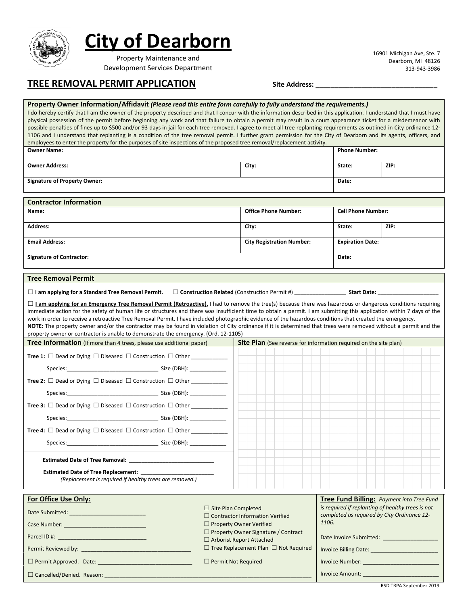

 $\Box$  Cancelled/Denied. Reason:  $\Box$ 

## **City of Dearborn**

Property Maintenance and Development Services Department 16901 Michigan Ave, Ste. 7 Dearborn, MI 48126 313-943-3986

### **TREE REMOVAL PERMIT APPLICATION Site Address: \_\_\_\_\_\_\_\_\_\_\_\_\_\_\_\_\_\_\_\_\_\_\_\_\_\_\_\_\_\_\_\_**

### **Property Owner Information/Affidavit** *(Please read this entire form carefully to fully understand the requirements.)* I do hereby certify that I am the owner of the property described and that I concur with the information described in this application. I understand that I must have physical possession of the permit before beginning any work and that failure to obtain a permit may result in a court appearance ticket for a misdemeanor with possible penalties of fines up to \$500 and/or 93 days in jail for each tree removed. I agree to meet all tree replanting requirements as outlined in City ordinance 12-1106 and I understand that replanting is a condition of the tree removal permit. I further grant permission for the City of Dearborn and its agents, officers, and employees to enter the property for the purposes of site inspections of the proposed tree removal/replacement activity. **Owner Name: Phone Number: Owner Address: City: State: ZIP: Signature of Property Owner: Date: Contractor Information Name: Office Phone Number: Cell Phone Number: Address: City: State: ZIP: Email Address: City Registration Number: Expiration Date: Signature of Contractor: Date: Tree Removal Permit** ☐ **I am applying for a Standard Tree Removal Permit.** ☐ **Construction Related** (Construction Permit #) **\_\_\_\_\_\_\_\_\_\_\_\_\_\_\_\_\_ Start Date: \_\_\_\_\_\_\_\_\_\_\_\_\_\_\_\_\_\_\_\_** □ **I am applying for an Emergency Tree Removal Permit (Retroactive).** I had to remove the tree(s) because there was hazardous or dangerous conditions requiring immediate action for the safety of human life or structures and there was insufficient time to obtain a permit. I am submitting this application within 7 days of the work in order to receive a retroactive Tree Removal Permit. I have included photographic evidence of the hazardous conditions that created the emergency. **NOTE:** The property owner and/or the contractor may be found in violation of City ordinance if it is determined that trees were removed without a permit and the property owner or contractor is unable to demonstrate the emergency. (Ord. 12-1105) **Tree Information** (If more than 4 trees, please use additional paper) **Site Plan** (See reverse for information required on the site plan) **Tree 1:** □ Dead or Dying □ Diseased □ Construction □ Other \_\_\_\_\_\_\_\_\_\_\_\_\_\_\_\_\_\_\_\_\_ Species:\_\_\_\_\_\_\_\_\_\_\_\_\_\_\_\_\_\_\_\_\_\_\_\_\_\_\_\_\_\_ Size (DBH): \_\_\_\_\_\_\_\_\_\_\_\_ **Tree 2:** □ Dead or Dying □ Diseased □ Construction □ Other Species:\_\_\_\_\_\_\_\_\_\_\_\_\_\_\_\_\_\_\_\_\_\_\_\_\_\_\_\_\_\_ Size (DBH): \_\_\_\_\_\_\_\_\_\_\_\_ **Tree 3:** □ Dead or Dying □ Diseased □ Construction □ Other \_\_\_\_\_\_\_\_\_\_\_\_\_\_\_\_\_\_\_\_\_ Species:\_\_\_\_\_\_\_\_\_\_\_\_\_\_\_\_\_\_\_\_\_\_\_\_\_\_\_\_\_\_ Size (DBH): \_\_\_\_\_\_\_\_\_\_\_\_ **Tree 4:** ☐ Dead or Dying ☐ Diseased ☐ Construction ☐ Other \_\_\_\_\_\_\_\_\_\_\_\_ Size (DBH): **Estimated Date of Tree Removal: \_\_\_\_\_\_\_\_\_\_\_\_\_\_\_\_\_\_\_\_\_\_\_\_\_\_\_\_ Estimated Date of Tree Replacement:** *(Replacement is required if healthy trees are removed.)* **For Office Use Only: Tree Fund Billing:** *Payment into Tree Fund* **Tree Fund Billing:** *Payment into Tree Fund is required if replanting of healthy trees is not completed as required by City Ordinance 12- 1106.* Date Invoice Submitted: \_\_\_\_\_\_\_\_\_\_\_\_\_\_\_\_\_\_ Invoice Billing Date: \_\_\_\_\_\_\_\_\_\_\_\_\_\_\_\_\_\_\_\_\_\_ Invoice Number: \_\_\_\_\_\_\_\_\_\_\_\_\_\_\_\_\_\_\_\_\_\_\_\_\_ Date Submitted: **We are submitted**: Case Number: Parcel ID #: Permit Reviewed by: \_\_\_\_\_\_\_\_\_\_\_\_\_\_\_\_\_\_\_\_\_\_\_\_\_\_\_\_\_\_\_\_\_\_\_\_ □ Site Plan Completed □ Contractor Information Verified ☐ Property Owner Verified ☐ Property Owner Signature / Contract ☐ Arborist Report Attached ☐ Tree Replacement Plan ☐ Not Required ☐ Permit Approved. Date: \_\_\_\_\_\_\_\_\_\_\_\_\_\_\_\_\_\_\_\_\_\_\_\_\_\_\_\_\_\_\_ ☐ Permit Not Required

RSD TRPA September 2019

Invoice Amount: \_\_\_\_\_\_\_\_\_\_\_\_\_\_\_\_\_\_\_\_\_\_\_\_\_